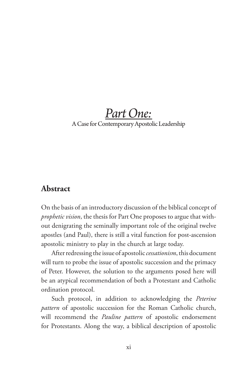## *Part One:* A Case for Contemporary Apostolic Leadership

#### **Abstract**

On the basis of an introductory discussion of the biblical concept of *prophetic vision*, the thesis for Part One proposes to argue that without denigrating the seminally important role of the original twelve apostles (and Paul), there is still a vital function for post-ascension apostolic ministry to play in the church at large today.

After redressing the issue of apostolic *cessationism*, this document will turn to probe the issue of apostolic succession and the primacy of Peter. However, the solution to the arguments posed here will be an atypical recommendation of both a Protestant and Catholic ordination protocol.

Such protocol, in addition to acknowledging the *Peterine pattern* of apostolic succession for the Roman Catholic church, will recommend the *Pauline pattern* of apostolic endorsement for Protestants. Along the way, a biblical description of apostolic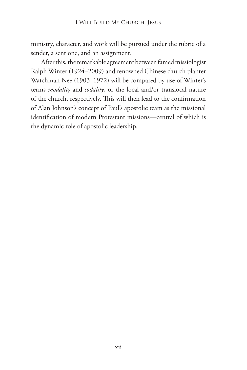ministry, character, and work will be pursued under the rubric of a sender, a sent one, and an assignment.

After this, the remarkable agreement between famed missiologist Ralph Winter (1924–2009) and renowned Chinese church planter Watchman Nee (1903–1972) will be compared by use of Winter's terms *modality* and *sodality*, or the local and/or translocal nature of the church, respectively. This will then lead to the confirmation of Alan Johnson's concept of Paul's apostolic team as the missional identification of modern Protestant missions—central of which is the dynamic role of apostolic leadership.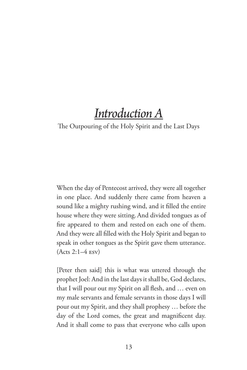# *Introduction A*

#### The Outpouring of the Holy Spirit and the Last Days

When the day of Pentecost arrived, they were all together in one place. And suddenly there came from heaven a sound like a mighty rushing wind, and it filled the entire house where they were sitting.And divided tongues as of fire appeared to them and rested on each one of them. And they were all filled with the Holy Spirit and began to speak in other tongues as the Spirit gave them utterance. (Acts 2:1–4 esv)

[Peter then said] this is what was uttered through the prophet Joel: And in the last days it shall be, God declares, that I will pour out my Spirit on all flesh, and … even on my male servants and female servants in those days I will pour out my Spirit, and they shall prophesy … before the day of the Lord comes, the great and magnificent day. And it shall come to pass that everyone who calls upon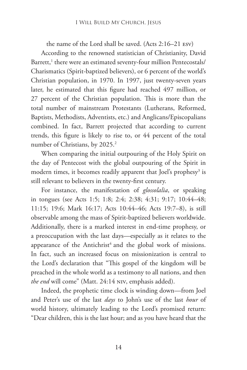the name of the Lord shall be saved. (Acts 2:16–21 esv) According to the renowned statistician of Christianity, David Barrett,<sup>1</sup> there were an estimated seventy-four million Pentecostals/ Charismatics (Spirit-baptized believers), or 6 percent of the world's Christian population, in 1970. In 1997, just twenty-seven years later, he estimated that this figure had reached 497 million, or 27 percent of the Christian population. This is more than the total number of mainstream Protestants (Lutherans, Reformed, Baptists, Methodists, Adventists, etc.) and Anglicans/Episcopalians combined. In fact, Barrett projected that according to current trends, this figure is likely to rise to, or 44 percent of the total number of Christians, by 2025.<sup>2</sup>

When comparing the initial outpouring of the Holy Spirit on the day of Pentecost with the global outpouring of the Spirit in modern times, it becomes readily apparent that Joel's prophesy<sup>3</sup> is still relevant to believers in the twenty-first century.

For instance, the manifestation of *glossolalia*, or speaking in tongues (see Acts 1:5; 1:8; 2:4; 2:38; 4:31; 9:17; 10:44–48; 11:15; 19:6; Mark 16:17; Acts 10:44–46; Acts 19:7–8), is still observable among the mass of Spirit-baptized believers worldwide. Additionally, there is a marked interest in end-time prophesy, or a preoccupation with the last days—especially as it relates to the appearance of the Antichrist<sup>4</sup> and the global work of missions. In fact, such an increased focus on missionization is central to the Lord's declaration that "This gospel of the kingdom will be preached in the whole world as a testimony to all nations, and then *the end* will come" (Matt. 24:14 niv, emphasis added).

Indeed, the prophetic time clock is winding down—from Joel and Peter's use of the last *days* to John's use of the last *hour* of world history, ultimately leading to the Lord's promised return: "Dear children, this is the last hour; and as you have heard that the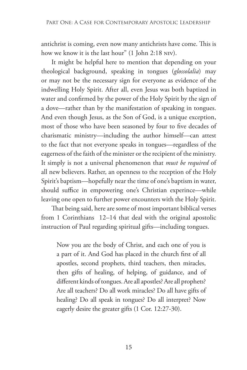antichrist is coming, even now many antichrists have come. This is how we know it is the last hour" (1 John 2:18 niv).

It might be helpful here to mention that depending on your theological background, speaking in tongues (*glossolalia*) may or may not be the necessary sign for everyone as evidence of the indwelling Holy Spirit. After all, even Jesus was both baptized in water and confirmed by the power of the Holy Spirit by the sign of a dove—rather than by the manifestation of speaking in tongues. And even though Jesus, as the Son of God, is a unique exception, most of those who have been seasoned by four to five decades of charismatic ministry—including the author himself—can attest to the fact that not everyone speaks in tongues—regardless of the eagerness of the faith of the minister or the recipient of the ministry. It simply is not a universal phenomenon that *must be required* of all new believers. Rather, an openness to the reception of the Holy Spirit's baptism—hopefully near the time of one's baptism in water, should suffice in empowering one's Christian experince—while leaving one open to further power encounters with the Holy Spirit.

That being said, here are some of most important biblical verses from 1 Corinthians 12–14 that deal with the original apostolic instruction of Paul regarding spiritual gifts—including tongues.

Now you are the body of Christ, and each one of you is a part of it. And God has placed in the church first of all apostles, second prophets, third teachers, then miracles, then gifts of healing, of helping, of guidance, and of different kinds of tongues. Are all apostles? Are all prophets? Are all teachers? Do all work miracles? Do all have gifts of healing? Do all speak in tongues? Do all interpret? Now eagerly desire the greater gifts (1 Cor. 12:27-30).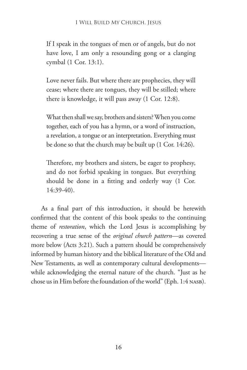If I speak in the tongues of men or of angels, but do not have love, I am only a resounding gong or a clanging cymbal (1 Cor. 13:1).

Love never fails. But where there are prophecies, they will cease; where there are tongues, they will be stilled; where there is knowledge, it will pass away (1 Cor. 12:8).

What then shall we say, brothers and sisters? When you come together, each of you has a hymn, or a word of instruction, a revelation, a tongue or an interpretation. Everything must be done so that the church may be built up (1 Cor. 14:26).

Therefore, my brothers and sisters, be eager to prophesy, and do not forbid speaking in tongues. But everything should be done in a fitting and orderly way (1 Cor. 14:39-40).

As a final part of this introduction, it should be herewith confirmed that the content of this book speaks to the continuing theme of *restoration*, which the Lord Jesus is accomplishing by recovering a true sense of the *original church pattern*—as covered more below (Acts 3:21). Such a pattern should be comprehensively informed by human history and the biblical literature of the Old and New Testaments, as well as contemporary cultural developments while acknowledging the eternal nature of the church. "Just as he chose us in Him before the foundation of the world" (Eph. 1:4 NASB).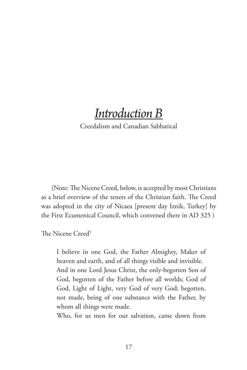# *Introduction B*

Creedalism and Canadian Sabbatical

(Note: The Nicene Creed, below, is accepted by most Christians as a brief overview of the tenets of the Christian faith. The Creed was adopted in the city of Nicaea [present day Iznik, Turkey] by the First Ecumenical Council, which convened there in AD 325 )

The Nicene Creed<sup>5</sup>

I believe in one God, the Father Almighty, Maker of heaven and earth, and of all things visible and invisible. And in one Lord Jesus Christ, the only-begotten Son of God, begotten of the Father before all worlds; God of God, Light of Light, very God of very God; begotten, not made, being of one substance with the Father, by whom all things were made.

Who, for us men for our salvation, came down from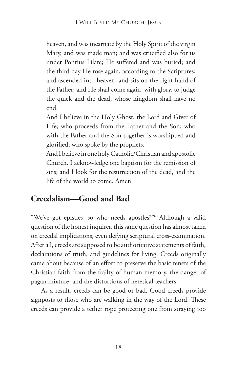heaven, and was incarnate by the Holy Spirit of the virgin Mary, and was made man; and was crucified also for us under Pontius Pilate; He suffered and was buried; and the third day He rose again, according to the Scriptures; and ascended into heaven, and sits on the right hand of the Father; and He shall come again, with glory, to judge the quick and the dead; whose kingdom shall have no end.

And I believe in the Holy Ghost, the Lord and Giver of Life; who proceeds from the Father and the Son; who with the Father and the Son together is worshipped and glorified; who spoke by the prophets.

And I believe in one holy Catholic/Christian and apostolic Church. I acknowledge one baptism for the remission of sins; and I look for the resurrection of the dead, and the life of the world to come. Amen.

## **Creedalism—Good and Bad**

"We've got epistles, so who needs apostles?"6 Although a valid question of the honest inquirer, this same question has almost taken on creedal implications, even defying scriptural cross-examination. After all, creeds are supposed to be authoritative statements of faith, declarations of truth, and guidelines for living. Creeds originally came about because of an effort to preserve the basic tenets of the Christian faith from the frailty of human memory, the danger of pagan mixture, and the distortions of heretical teachers.

As a result, creeds can be good or bad. Good creeds provide signposts to those who are walking in the way of the Lord. These creeds can provide a tether rope protecting one from straying too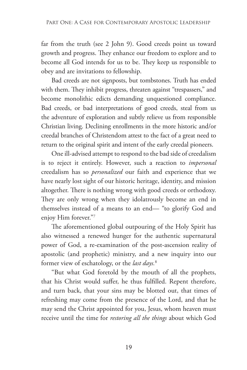far from the truth (see 2 John 9). Good creeds point us toward growth and progress. They enhance our freedom to explore and to become all God intends for us to be. They keep us responsible to obey and are invitations to fellowship.

Bad creeds are not signposts, but tombstones. Truth has ended with them. They inhibit progress, threaten against "trespassers," and become monolithic edicts demanding unquestioned compliance. Bad creeds, or bad interpretations of good creeds, steal from us the adventure of exploration and subtly relieve us from responsible Christian living. Declining enrollments in the more historic and/or creedal branches of Christendom attest to the fact of a great need to return to the original spirit and intent of the early creedal pioneers.

One ill-advised attempt to respond to the bad side of creedalism is to reject it entirely. However, such a reaction to *impersonal* creedalism has so *personalized* our faith and experience that we have nearly lost sight of our historic heritage, identity, and mission altogether. There is nothing wrong with good creeds or orthodoxy. They are only wrong when they idolatrously become an end in themselves instead of a means to an end— "to glorify God and enjoy Him forever."7

The aforementioned global outpouring of the Holy Spirit has also witnessed a renewed hunger for the authentic supernatural power of God, a re-examination of the post-ascension reality of apostolic (and prophetic) ministry, and a new inquiry into our former view of eschatology, or the *last days.*<sup>8</sup>

"But what God foretold by the mouth of all the prophets, that his Christ would suffer, he thus fulfilled. Repent therefore, and turn back, that your sins may be blotted out, that times of refreshing may come from the presence of the Lord, and that he may send the Christ appointed for you, Jesus, whom heaven must receive until the time for *restoring all the things* about which God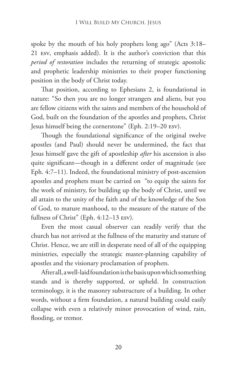spoke by the mouth of his holy prophets long ago" (Acts 3:18– 21 esv, emphasis added). It is the author's conviction that this *period of restoration* includes the returning of strategic apostolic and prophetic leadership ministries to their proper functioning position in the body of Christ today.

That position, according to Ephesians 2, is foundational in nature: "So then you are no longer strangers and aliens, but you are fellow citizens with the saints and members of the household of God, built on the foundation of the apostles and prophets, Christ Jesus himself being the cornerstone" (Eph. 2:19–20 esv).

Though the foundational significance of the original twelve apostles (and Paul) should never be undermined, the fact that Jesus himself gave the gift of apostleship *after* his ascension is also quite significant—though in a different order of magnitude (see Eph. 4:7–11). Indeed, the foundational ministry of post-ascension apostles and prophets must be carried on "to equip the saints for the work of ministry, for building up the body of Christ, until we all attain to the unity of the faith and of the knowledge of the Son of God, to mature manhood, to the measure of the stature of the fullness of Christ" (Eph. 4:12–13 esv).

Even the most casual observer can readily verify that the church has not arrived at the fullness of the maturity and stature of Christ. Hence, we are still in desperate need of all of the equipping ministries, especially the strategic master-planning capability of apostles and the visionary proclamation of prophets.

After all, a well-laid foundation is the basis upon which something stands and is thereby supported, or upheld. In construction terminology, it is the masonry substructure of a building. In other words, without a firm foundation, a natural building could easily collapse with even a relatively minor provocation of wind, rain, flooding, or tremor.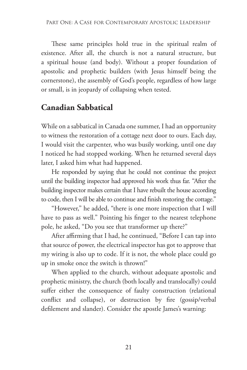These same principles hold true in the spiritual realm of existence. After all, the church is not a natural structure, but a spiritual house (and body). Without a proper foundation of apostolic and prophetic builders (with Jesus himself being the cornerstone), the assembly of God's people, regardless of how large or small, is in jeopardy of collapsing when tested.

## **Canadian Sabbatical**

While on a sabbatical in Canada one summer, I had an opportunity to witness the restoration of a cottage next door to ours. Each day, I would visit the carpenter, who was busily working, until one day I noticed he had stopped working. When he returned several days later, I asked him what had happened.

He responded by saying that he could not continue the project until the building inspector had approved his work thus far. "After the building inspector makes certain that I have rebuilt the house according to code, then I will be able to continue and finish restoring the cottage."

"However," he added, "there is one more inspection that I will have to pass as well." Pointing his finger to the nearest telephone pole, he asked, "Do you see that transformer up there?"

After affirming that I had, he continued, "Before I can tap into that source of power, the electrical inspector has got to approve that my wiring is also up to code. If it is not, the whole place could go up in smoke once the switch is thrown!"

When applied to the church, without adequate apostolic and prophetic ministry, the church (both locally and translocally) could suffer either the consequence of faulty construction (relational conflict and collapse), or destruction by fire (gossip/verbal defilement and slander). Consider the apostle James's warning: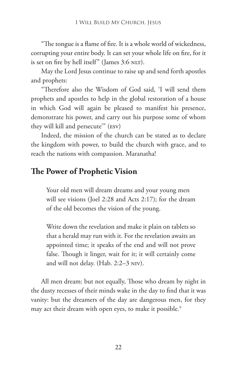"The tongue is a flame of fire. It is a whole world of wickedness, corrupting your entire body. It can set your whole life on fire, for it is set on fire by hell itself" (James 3:6 NLT).

May the Lord Jesus continue to raise up and send forth apostles and prophets:

"Therefore also the Wisdom of God said, 'I will send them prophets and apostles to help in the global restoration of a house in which God will again be pleased to manifest his presence, demonstrate his power, and carry out his purpose some of whom they will kill and persecute'" (esv)

Indeed, the mission of the church can be stated as to declare the kingdom with power, to build the church with grace, and to reach the nations with compassion. Maranatha!

#### **The Power of Prophetic Vision**

Your old men will dream dreams and your young men will see visions (Joel 2:28 and Acts 2:17); for the dream of the old becomes the vision of the young.

Write down the revelation and make it plain on tablets so that a herald may run with it. For the revelation awaits an appointed time; it speaks of the end and will not prove false. Though it linger, wait for it; it will certainly come and will not delay. (Hab. 2:2–3 niv).

All men dream: but not equally, Those who dream by night in the dusty recesses of their minds wake in the day to find that it was vanity: but the dreamers of the day are dangerous men, for they may act their dream with open eyes, to make it possible.<sup>9</sup>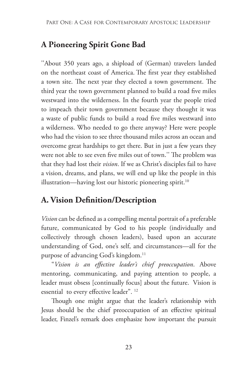## **A Pioneering Spirit Gone Bad**

''About 350 years ago, a shipload of (German) travelers landed on the northeast coast of America. The first year they established a town site. The next year they elected a town government. The third year the town government planned to build a road five miles westward into the wilderness. In the fourth year the people tried to impeach their town government because they thought it was a waste of public funds to build a road five miles westward into a wilderness. Who needed to go there anyway? Here were people who had the vision to see three thousand miles across an ocean and overcome great hardships to get there. But in just a few years they were not able to see even five miles out of town.'' The problem was that they had lost their *vision*. If we as Christ's disciples fail to have a vision, dreams, and plans, we will end up like the people in this illustration—having lost our historic pioneering spirit.<sup>10</sup>

## **A. Vision Definition/Description**

*Vision* can be defined as a compelling mental portrait of a preferable future, communicated by God to his people (individually and collectively through chosen leaders), based upon an accurate understanding of God, one's self, and circumstances—all for the purpose of advancing God's kingdom.<sup>11</sup>

"*Vision is an effective leader's chief preoccupation*. Above mentoring, communicating, and paying attention to people, a leader must obsess [continually focus] about the future. Vision is essential to every effective leader". 12

Though one might argue that the leader's relationship with Jesus should be the chief preoccupation of an effective spiritual leader, Finzel's remark does emphasize how important the pursuit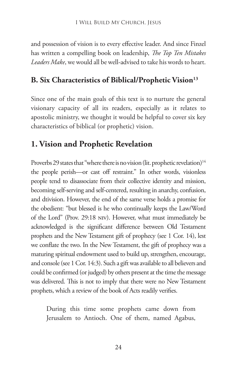and possession of vision is to every effective leader. And since Finzel has written a compelling book on leadership, *The Top Ten Mistakes Leaders Make*, we would all be well-advised to take his words to heart.

#### **B. Six Characteristics of Biblical/Prophetic Vision**<sup>13</sup>

Since one of the main goals of this text is to nurture the general visionary capacity of all its readers, especially as it relates to apostolic ministry, we thought it would be helpful to cover six key characteristics of biblical (or prophetic) vision.

### **1. Vision and Prophetic Revelation**

Proverbs 29 states that "where there is no vision (lit. prophetic revelation)<sup>14</sup> the people perish—or cast off restraint." In other words, visionless people tend to disassociate from their collective identity and mission, becoming self-serving and self-centered, resulting in anarchy, confusion, and dtivision. However, the end of the same verse holds a promise for the obedient: "but blessed is he who continually keeps the Law/Word of the Lord" (Prov. 29:18 niv). However, what must immediately be acknowledged is the significant difference between Old Testament prophets and the New Testament gift of prophecy (see 1 Cor. 14), lest we conflate the two. In the New Testament, the gift of prophecy was a maturing spiritual endowment used to build up, strengthen, encourage, and console (see 1 Cor. 14:3). Such a gift was available to all believers and could be confirmed (or judged) by others present at the time the message was delivered. This is not to imply that there were no New Testament prophets, which a review of the book of Acts readily verifies.

During this time some prophets came down from Jerusalem to Antioch. One of them, named Agabus,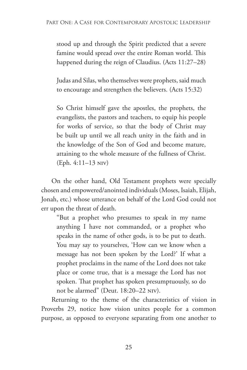stood up and through the Spirit predicted that a severe famine would spread over the entire Roman world. This happened during the reign of Claudius. (Acts 11:27–28)

Judas and Silas, who themselves were prophets, said much to encourage and strengthen the believers. (Acts 15:32)

So Christ himself gave the apostles, the prophets, the evangelists, the pastors and teachers, to equip his people for works of service, so that the body of Christ may be built up until we all reach unity in the faith and in the knowledge of the Son of God and become mature, attaining to the whole measure of the fullness of Christ. (Eph. 4:11–13 niv)

On the other hand, Old Testament prophets were specially chosen and empowered/anointed individuals (Moses, Isaiah, Elijah, Jonah, etc.) whose utterance on behalf of the Lord God could not err upon the threat of death.

"But a prophet who presumes to speak in my name anything I have not commanded, or a prophet who speaks in the name of other gods, is to be put to death. You may say to yourselves, 'How can we know when a message has not been spoken by the Lord?' If what a prophet proclaims in the name of the Lord does not take place or come true, that is a message the Lord has not spoken. That prophet has spoken presumptuously, so do not be alarmed" (Deut. 18:20–22 niv).

Returning to the theme of the characteristics of vision in Proverbs 29, notice how vision unites people for a common purpose, as opposed to everyone separating from one another to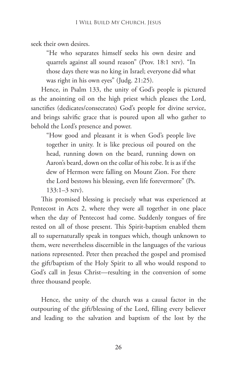seek their own desires.

"He who separates himself seeks his own desire and quarrels against all sound reason" (Prov. 18:1 niv). "In those days there was no king in Israel; everyone did what was right in his own eyes" (Judg. 21:25).

Hence, in Psalm 133, the unity of God's people is pictured as the anointing oil on the high priest which pleases the Lord, sanctifies (dedicates/consecrates) God's people for divine service, and brings salvific grace that is poured upon all who gather to behold the Lord's presence and power.

"How good and pleasant it is when God's people live together in unity. It is like precious oil poured on the head, running down on the beard, running down on Aaron's beard, down on the collar of his robe. It is as if the dew of Hermon were falling on Mount Zion. For there the Lord bestows his blessing, even life forevermore" (Ps. 133:1–3 niv).

This promised blessing is precisely what was experienced at Pentecost in Acts 2, where they were all together in one place when the day of Pentecost had come. Suddenly tongues of fire rested on all of those present. This Spirit-baptism enabled them all to supernaturally speak in tongues which, though unknown to them, were nevertheless discernible in the languages of the various nations represented. Peter then preached the gospel and promised the gift/baptism of the Holy Spirit to all who would respond to God's call in Jesus Christ—resulting in the conversion of some three thousand people.

Hence, the unity of the church was a causal factor in the outpouring of the gift/blessing of the Lord, filling every believer and leading to the salvation and baptism of the lost by the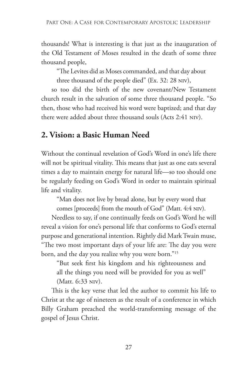thousands! What is interesting is that just as the inauguration of the Old Testament of Moses resulted in the death of some three thousand people,

"The Levites did as Moses commanded, and that day about three thousand of the people died" (Ex. 32: 28 niv),

so too did the birth of the new covenant/New Testament church result in the salvation of some three thousand people. "So then, those who had received his word were baptized; and that day there were added about three thousand souls (Acts 2:41 niv).

## **2. Vision: a Basic Human Need**

Without the continual revelation of God's Word in one's life there will not be spiritual vitality. This means that just as one eats several times a day to maintain energy for natural life—so too should one be regularly feeding on God's Word in order to maintain spiritual life and vitality.

"Man does not live by bread alone, but by every word that comes [proceeds] from the mouth of God" (Matt. 4:4 niv).

Needless to say, if one continually feeds on God's Word he will reveal a vision for one's personal life that conforms to God's eternal purpose and generational intention. Rightly did Mark Twain muse, "The two most important days of your life are: The day you were born, and the day you realize why you were born."15

"But seek first his kingdom and his righteousness and all the things you need will be provided for you as well" (Matt. 6:33 niv).

This is the key verse that led the author to commit his life to Christ at the age of nineteen as the result of a conference in which Billy Graham preached the world-transforming message of the gospel of Jesus Christ.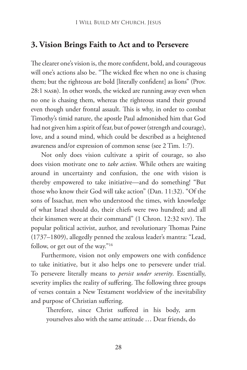#### **3. Vision Brings Faith to Act and to Persevere**

The clearer one's vision is, the more confident, bold, and courageous will one's actions also be. "The wicked flee when no one is chasing them; but the righteous are bold [literally confident] as lions" (Prov. 28:1 NASB). In other words, the wicked are running away even when no one is chasing them, whereas the righteous stand their ground even though under frontal assault. This is why, in order to combat Timothy's timid nature, the apostle Paul admonished him that God had not given him a spirit of fear, but of power (strength and courage), love, and a sound mind, which could be described as a heightened awareness and/or expression of common sense (see 2 Tim. 1:7).

Not only does vision cultivate a spirit of courage, so also does vision motivate one to *take action*. While others are waiting around in uncertainty and confusion, the one with vision is thereby empowered to take initiative—and do something! "But those who know their God will take action" (Dan. 11:32). "Of the sons of Issachar, men who understood the times, with knowledge of what Israel should do, their chiefs were two hundred; and all their kinsmen were at their command" (1 Chron. 12:32 niv). The popular political activist, author, and revolutionary Thomas Paine (1737–1809), allegedly penned the zealous leader's mantra: "Lead, follow, or get out of the way."16

Furthermore, vision not only empowers one with confidence to take initiative, but it also helps one to persevere under trial. To persevere literally means to *persist under severity*. Essentially, severity implies the reality of suffering. The following three groups of verses contain a New Testament worldview of the inevitability and purpose of Christian suffering.

Therefore, since Christ suffered in his body, arm yourselves also with the same attitude … Dear friends, do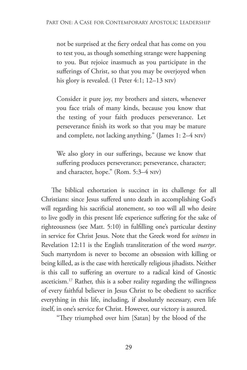not be surprised at the fiery ordeal that has come on you to test you, as though something strange were happening to you. But rejoice inasmuch as you participate in the sufferings of Christ, so that you may be overjoyed when his glory is revealed. (1 Peter 4:1; 12–13 NIV)

Consider it pure joy, my brothers and sisters, whenever you face trials of many kinds, because you know that the testing of your faith produces perseverance. Let perseverance finish its work so that you may be mature and complete, not lacking anything." (James 1: 2–4 niv)

We also glory in our sufferings, because we know that suffering produces perseverance; perseverance, character; and character, hope." (Rom. 5:3–4 niv)

The biblical exhortation is succinct in its challenge for all Christians: since Jesus suffered unto death in accomplishing God's will regarding his sacrificial atonement, so too will all who desire to live godly in this present life experience suffering for the sake of righteousness (see Matt. 5:10) in fulfilling one's particular destiny in service for Christ Jesus. Note that the Greek word for *witness* in Revelation 12:11 is the English transliteration of the word *martyr*. Such martyrdom is never to become an obsession with killing or being killed, as is the case with heretically religious jihadists. Neither is this call to suffering an overture to a radical kind of Gnostic asceticism.17 Rather, this is a sober reality regarding the willingness of every faithful believer in Jesus Christ to be obedient to sacrifice everything in this life, including, if absolutely necessary, even life itself, in one's service for Christ. However, our victory is assured.

"They triumphed over him [Satan] by the blood of the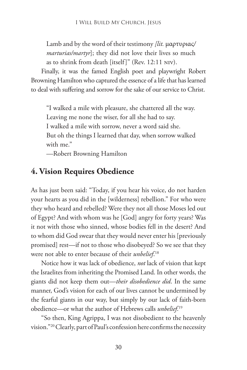Lamb and by the word of their testimony *[lit.* μαρτυριας*/ marturias/martyr*]; they did not love their lives so much as to shrink from death [itself]" (Rev. 12:11 niv).

Finally, it was the famed English poet and playwright Robert Browning Hamilton who captured the essence of a life that has learned to deal with suffering and sorrow for the sake of our service to Christ.

"I walked a mile with pleasure, she chattered all the way. Leaving me none the wiser, for all she had to say. I walked a mile with sorrow, never a word said she. But oh the things I learned that day, when sorrow walked with me."

—Robert Browning Hamilton

## **4. Vision Requires Obedience**

As has just been said: "Today, if you hear his voice, do not harden your hearts as you did in the [wilderness] rebellion." For who were they who heard and rebelled? Were they not all those Moses led out of Egypt? And with whom was he [God] angry for forty years? Was it not with those who sinned, whose bodies fell in the desert? And to whom did God swear that they would never enter his [previously promised] rest—if not to those who disobeyed? So we see that they were not able to enter because of their *unbelief*. 18

Notice how it was lack of obedience, *not* lack of vision that kept the Israelites from inheriting the Promised Land. In other words, the giants did not keep them out—*their disobedience did*. In the same manner, God's vision for each of our lives cannot be undermined by the fearful giants in our way, but simply by our lack of faith-born obedience—or what the author of Hebrews calls *unbelief*. 19

"So then, King Agrippa, I was not disobedient to the heavenly vision."20 Clearly, part of Paul's confession here confirms the necessity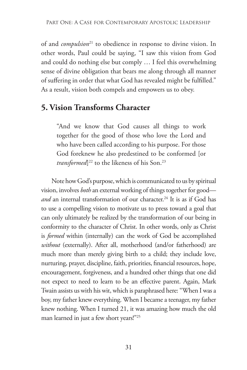of and *compulsion*<sup>21</sup> to obedience in response to divine vision. In other words, Paul could be saying, "I saw this vision from God and could do nothing else but comply … I feel this overwhelming sense of divine obligation that bears me along through all manner of suffering in order that what God has revealed might be fulfilled." As a result, vision both compels and empowers us to obey.

### **5. Vision Transforms Character**

"And we know that God causes all things to work together for the good of those who love the Lord and who have been called according to his purpose. For those God foreknew he also predestined to be conformed [or *transformed*] 22 to the likeness of his Son.23

Note how God's purpose, which is communicated to us by spiritual vision, involves *both* an external working of things together for good *and* an internal transformation of our character.<sup>24</sup> It is as if God has to use a compelling vision to motivate us to press toward a goal that can only ultimately be realized by the transformation of our being in conformity to the character of Christ. In other words, only as Christ is *formed* within (internally) can the work of God be accomplished *without* (externally). After all, motherhood (and/or fatherhood) are much more than merely giving birth to a child; they include love, nurturing, prayer, discipline, faith, priorities, financial resources, hope, encouragement, forgiveness, and a hundred other things that one did not expect to need to learn to be an effective parent. Again, Mark Twain assists us with his wit, which is paraphrased here: "When I was a boy, my father knew everything. When I became a teenager, my father knew nothing. When I turned 21, it was amazing how much the old man learned in just a few short years!"25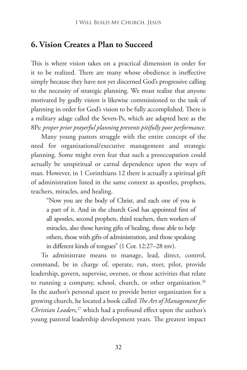#### **6. Vision Creates a Plan to Succeed**

This is where vision takes on a practical dimension in order for it to be realized. There are many whose obedience is ineffective simply because they have not yet discerned God's progressive calling to the necessity of strategic planning. We must realize that anyone motivated by godly vision is likewise commissioned to the task of planning in order for God's vision to be fully accomplished. There is a military adage called the Seven-Ps, which are adapted here as the 8Ps: *proper prior prayerful planning prevents pitifully poor performance*.

Many young pastors struggle with the entire concept of the need for organizational/executive management and strategic planning. Some might even fear that such a preoccupation could actually be unspiritual or carnal dependence upon the ways of man. However, in 1 Corinthians 12 there is actually a spiritual gift of administration listed in the same context as apostles, prophets, teachers, miracles, and healing.

"Now you are the body of Christ, and each one of you is a part of it. And in the church God has appointed first of all apostles, second prophets, third teachers, then workers of miracles, also those having gifts of healing, those able to help others, those with gifts of administration, and those speaking in different kinds of tongues" (1 Cor. 12:27–28 esv).

To administrate means to manage, lead, direct, control, command, be in charge of, operate, run, steer, pilot, provide leadership, govern, supervise, oversee, or those activities that relate to running a company, school, church, or other organization.<sup>26</sup> In the author's personal quest to provide better organization for a growing church, he located a book called *The Art of Management for Christian Leaders,*27 which had a profound effect upon the author's young pastoral leadership development years. The greatest impact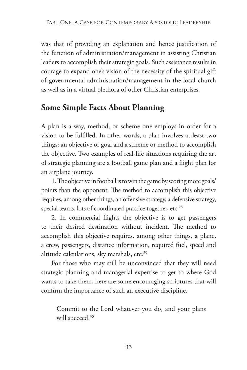was that of providing an explanation and hence justification of the function of administration/management in assisting Christian leaders to accomplish their strategic goals. Such assistance results in courage to expand one's vision of the necessity of the spiritual gift of governmental administration/management in the local church as well as in a virtual plethora of other Christian enterprises.

## **Some Simple Facts About Planning**

A plan is a way, method, or scheme one employs in order for a vision to be fulfilled. In other words, a plan involves at least two things: an objective or goal and a scheme or method to accomplish the objective. Two examples of real-life situations requiring the art of strategic planning are a football game plan and a flight plan for an airplane journey.

1. The objective in football is to win the game by scoring more goals/ points than the opponent. The method to accomplish this objective requires, among other things, an offensive strategy, a defensive strategy, special teams, lots of coordinated practice together, etc.<sup>28</sup>

2. In commercial flights the objective is to get passengers to their desired destination without incident. The method to accomplish this objective requires, among other things, a plane, a crew, passengers, distance information, required fuel, speed and altitude calculations, sky marshals, etc.<sup>29</sup>

For those who may still be unconvinced that they will need strategic planning and managerial expertise to get to where God wants to take them, here are some encouraging scriptures that will confirm the importance of such an executive discipline.

Commit to the Lord whatever you do, and your plans will succeed.<sup>30</sup>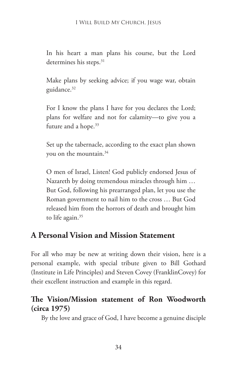In his heart a man plans his course, but the Lord determines his steps.<sup>31</sup>

Make plans by seeking advice; if you wage war, obtain guidance.<sup>32</sup>

For I know the plans I have for you declares the Lord; plans for welfare and not for calamity—to give you a future and a hope.<sup>33</sup>

Set up the tabernacle, according to the exact plan shown you on the mountain.34

O men of Israel, Listen! God publicly endorsed Jesus of Nazareth by doing tremendous miracles through him … But God, following his prearranged plan, let you use the Roman government to nail him to the cross … But God released him from the horrors of death and brought him to life again. $35$ 

#### **A Personal Vision and Mission Statement**

For all who may be new at writing down their vision, here is a personal example, with special tribute given to Bill Gothard (Institute in Life Principles) and Steven Covey (FranklinCovey) for their excellent instruction and example in this regard.

#### **The Vision/Mission statement of Ron Woodworth (circa 1975)**

By the love and grace of God, I have become a genuine disciple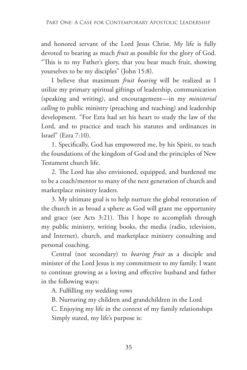and honored servant of the Lord Jesus Christ. My life is fully devoted to bearing as much *fruit* as possible for the glory of God. "This is to my Father's glory, that you bear much fruit, showing yourselves to be my disciples" (John 15:8).

I believe that maximum *fruit bearing* will be realized as I utilize my primary spiritual giftings of leadership, communication (speaking and writing), and encouragement—in my *ministerial calling* to public ministry (preaching and teaching) and leadership development. "For Ezra had set his heart to study the law of the Lord, and to practice and teach his statutes and ordinances in Israel" (Ezra 7:10).

1. Specifically, God has empowered me, by his Spirit, to teach the foundations of the kingdom of God and the principles of New Testament church life.

2. The Lord has also envisioned, equipped, and burdened me to be a coach/mentor to many of the next generation of church and marketplace ministry leaders.

3. My ultimate goal is to help nurture the global restoration of the church in as broad a sphere as God will grant me opportunity and grace (see Acts 3:21). This I hope to accomplish through my public ministry, writing books, the media (radio, television, and Internet), church, and marketplace ministry consulting and personal coaching.

Central (not secondary) to *bearing fruit* as a disciple and minister of the Lord Jesus is my commitment to my family. I want to continue growing as a loving and effective husband and father in the following ways:

A. Fulfilling my wedding vows

B. Nurturing my children and grandchildren in the Lord

C. Enjoying my life in the context of my family relationships Simply stated, my life's purpose is: